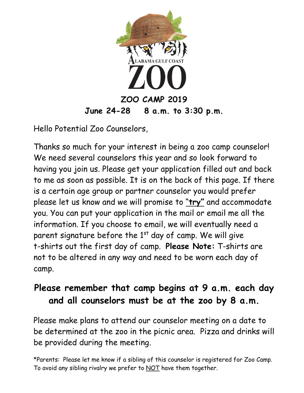

Hello Potential Zoo Counselors,

Thanks so much for your interest in being a zoo camp counselor! We need several counselors this year and so look forward to having you join us. Please get your application filled out and back to me as soon as possible. It is on the back of this page. If there is a certain age group or partner counselor you would prefer please let us know and we will promise to "**try"** and accommodate you. You can put your application in the mail or email me all the information. If you choose to email, we will eventually need a parent signature before the  $1<sup>st</sup>$  day of camp. We will give t-shirts out the first day of camp. **Please Note:** T-shirts are not to be altered in any way and need to be worn each day of camp.

## **Please remember that camp begins at 9 a.m. each day and all counselors must be at the zoo by 8 a.m.**

Please make plans to attend our counselor meeting on a date to be determined at the zoo in the picnic area. Pizza and drinks will be provided during the meeting.

\*Parents: Please let me know if a sibling of this counselor is registered for Zoo Camp. To avoid any sibling rivalry we prefer to NOT have them together.